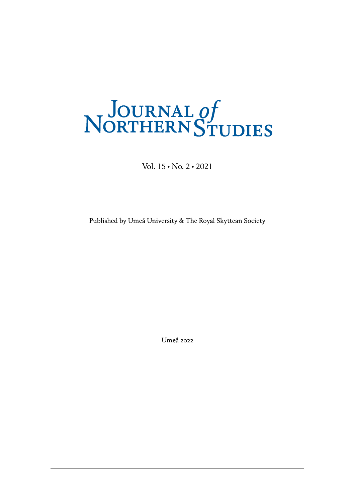# NORTHERN STUDIES

Vol. 15 • No. 2 • 2021

Published by Umeå University & The Royal Skyttean Society

Umeå 2022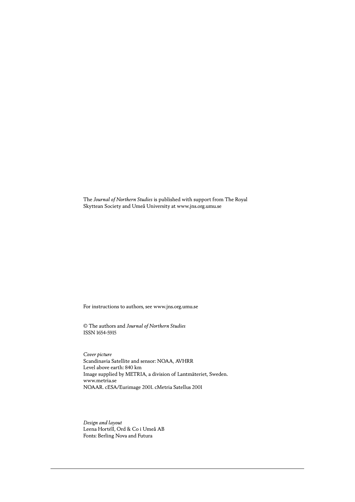The *Journal of Northern Studies* is published with support from The Royal Skyttean Society and Umeå University at www.jns.org.umu.se

For instructions to authors, see www.jns.org.umu.se

© The authors and *Journal of Northern Studies* ISSN 1654-5915

*Cover picture* Scandinavia Satellite and sensor: NOAA, AVHRR Level above earth: 840 km Image supplied by METRIA, a division of Lantmäteriet, Sweden. www.metria.se NOAAR. cESA/Eurimage 2001. cMetria Satellus 2001

*Design and layout* Leena Hortéll, Ord & Co i Umeå AB Fonts: Berling Nova and Futura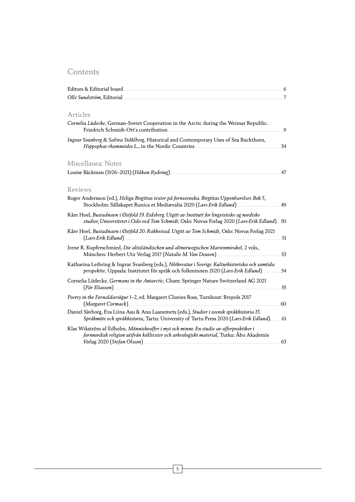#### **Contents**

| Olle Sundström, Editorial <u>manuscus anno 2012</u>                                                                                                                                                                                                                                                                                                                                                                    |     |
|------------------------------------------------------------------------------------------------------------------------------------------------------------------------------------------------------------------------------------------------------------------------------------------------------------------------------------------------------------------------------------------------------------------------|-----|
| Articles                                                                                                                                                                                                                                                                                                                                                                                                               |     |
| Cornelia Lüdecke, German-Soviet Cooperation in the Arctic during the Weimar Republic.                                                                                                                                                                                                                                                                                                                                  | 9   |
| Ingvar Svanberg & Sabira Ståhlberg, Historical and Contemporary Uses of Sea Buckthorn,                                                                                                                                                                                                                                                                                                                                 | .34 |
| Miscellanea: Notes                                                                                                                                                                                                                                                                                                                                                                                                     |     |
|                                                                                                                                                                                                                                                                                                                                                                                                                        | .47 |
| Reviews                                                                                                                                                                                                                                                                                                                                                                                                                |     |
| Roger Andersson (ed.), Heliga Birgittas texter på fornsvenska. Birgittas Uppenbarelser. Bok 5,                                                                                                                                                                                                                                                                                                                         |     |
| Kåre Hoel, Bustadnavn i Østfold 19. Eidsberg. Utgitt av Institutt for lingvistiske og nordiske<br>studier, Universitetet i Oslo ved Tom Schmidt, Oslo: Novus Forlag 2020 (Lars-Erik Edlund)50                                                                                                                                                                                                                          |     |
| Kåre Hoel, Bustadnavn i Østfold 20. Rakkestad. Utgitt av Tom Schmidt, Oslo: Novus Forlag 2021                                                                                                                                                                                                                                                                                                                          |     |
| Irene R. Kupferschmied, Die altisländischen und altnorwegischen Marienmirakel, 2 vols.,                                                                                                                                                                                                                                                                                                                                | .53 |
| Katharina Leibring & Ingvar Svanberg (eds.), Nötkreatur i Sverige. Kulturhistoriska och samtida<br>perspektiv, Uppsala: Institutet för språk och folkminnen 2020 (Lars-Erik Edlund)                                                                                                                                                                                                                                    | .54 |
| Cornelia Lüdecke, Germans in the Antarctic, Cham: Springer Nature Switzerland AG 2021                                                                                                                                                                                                                                                                                                                                  | .55 |
| Poetry in the Fornaldarsögur 1-2, ed. Margaret Clunies Ross, Turnhout: Brepols 2017                                                                                                                                                                                                                                                                                                                                    | .60 |
| Daniel Sävborg, Eva Liina Asu & Anu Laanemets (eds.), Studier i svensk språkhistoria 15.<br>Språkmöte och språkhistoria, Tartu: University of Tartu Press 2020 (Lars-Erik Edlund)61                                                                                                                                                                                                                                    |     |
| Klas Wikström af Edholm, Människooffer i myt och minne. En studie av offerpraktiker i<br>fornnordisk religion utifrån källtexter och arkeologiskt material, Turku: Åbo Akademis<br>förlag 2020 (Stefan Olsson) <b>Manual Stefan Olsson</b> Stefan Olsson and Stefan Olsson Stefan Olsson Stefan Olsson Stefan Olsson Stefan Olsson Stefan Olsson Stefan Olsson Stefan Olsson Stefan Olsson Stefan Olsson Stefan Olsson | .63 |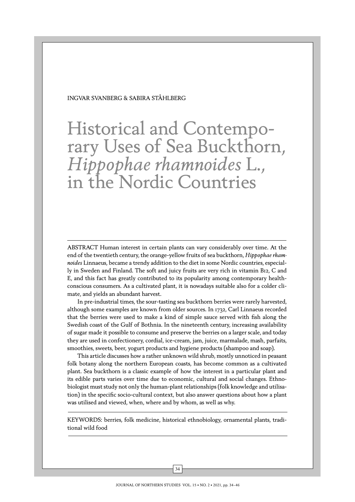INGVAR SVANBERG & SABIRA STÅHLBERG

Historical and Contemporary Uses of Sea Buckthorn, *Hippophae rhamnoides* L., in the Nordic Countries

ABSTRACT Human interest in certain plants can vary considerably over time. At the end of the twentieth century, the orange-yellow fruits of sea buckthorn, *Hippophae rhamnoides* Linnaeus, became a trendy addition to the diet in some Nordic countries, especially in Sweden and Finland. The soft and juicy fruits are very rich in vitamin B12, C and E, and this fact has greatly contributed to its popularity among contemporary healthconscious consumers. As a cultivated plant, it is nowadays suitable also for a colder climate, and yields an abundant harvest.

In pre-industrial times, the sour-tasting sea buckthorn berries were rarely harvested, although some examples are known from older sources. In 1732, Carl Linnaeus recorded that the berries were used to make a kind of simple sauce served with fish along the Swedish coast of the Gulf of Bothnia. In the nineteenth century, increasing availability of sugar made it possible to consume and preserve the berries on a larger scale, and today they are used in confectionery, cordial, ice-cream, jam, juice, marmalade, mash, parfaits, smoothies, sweets, beer, yogurt products and hygiene products (shampoo and soap).

This article discusses how a rather unknown wild shrub, mostly unnoticed in peasant folk botany along the northern European coasts, has become common as a cultivated plant. Sea buckthorn is a classic example of how the interest in a particular plant and its edible parts varies over time due to economic, cultural and social changes. Ethnobiologist must study not only the human-plant relationships (folk knowledge and utilisation) in the specific socio-cultural context, but also answer questions about how a plant was utilised and viewed, when, where and by whom, as well as why.

KEYWORDS: berries, folk medicine, historical ethnobiology, ornamental plants, traditional wild food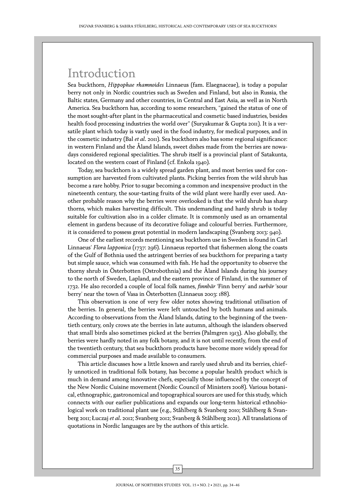## Introduction

Sea buckthorn, *Hippophae rhamnoides* Linnaeus (fam. Elaegnaceae), is today a popular berry not only in Nordic countries such as Sweden and Finland, but also in Russia, the Baltic states, Germany and other countries, in Central and East Asia, as well as in North America. Sea buckthorn has, according to some researchers, "gained the status of one of the most sought-after plant in the pharmaceutical and cosmetic based industries, besides health food processing industries the world over" (Suryakumar & Gupta 2011). It is a versatile plant which today is vastly used in the food industry, for medical purposes, and in the cosmetic industry (Bal *et al*. 2011). Sea buckthorn also has some regional significance: in western Finland and the Åland Islands, sweet dishes made from the berries are nowadays considered regional specialities. The shrub itself is a provincial plant of Satakunta, located on the western coast of Finland (cf. Enkola 1940).

Today, sea buckthorn is a widely spread garden plant, and most berries used for consumption are harvested from cultivated plants. Picking berries from the wild shrub has become a rare hobby. Prior to sugar becoming a common and inexpensive product in the nineteenth century, the sour-tasting fruits of the wild plant were hardly ever used. Another probable reason why the berries were overlooked is that the wild shrub has sharp thorns, which makes harvesting difficult. This undemanding and hardy shrub is today suitable for cultivation also in a colder climate. It is commonly used as an ornamental element in gardens because of its decorative foliage and colourful berries. Furthermore, it is considered to possess great potential in modern landscaping (Svanberg 2013: 940).

One of the earliest records mentioning sea buckthorn use in Sweden is found in Carl Linnaeus' *Flora lapponica* (1737: 296). Linnaeus reported that fishermen along the coasts of the Gulf of Bothnia used the astringent berries of sea buckthorn for preparing a tasty but simple sauce, which was consumed with fish. He had the opportunity to observe the thorny shrub in Österbotten (Ostrobothnia) and the Åland Islands during his journey to the north of Sweden, Lapland, and the eastern province of Finland, in the summer of 1732. He also recorded a couple of local folk names, *finnbär* 'Finn berry' and *surbär* 'sour berry' near the town of Vasa in Österbotten (Linnaeus 2003: 188).

This observation is one of very few older notes showing traditional utilisation of the berries. In general, the berries were left untouched by both humans and animals. According to observations from the Åland Islands, dating to the beginning of the twentieth century, only crows ate the berries in late autumn, although the islanders observed that small birds also sometimes picked at the berries (Palmgren 1913). Also globally, the berries were hardly noted in any folk botany, and it is not until recently, from the end of the twentieth century, that sea buckthorn products have become more widely spread for commercial purposes and made available to consumers.

This article discusses how a little known and rarely used shrub and its berries, chiefly unnoticed in traditional folk botany, has become a popular health product which is much in demand among innovative chefs, especially those influenced by the concept of the New Nordic Cuisine movement (Nordic Council of Ministers 2008). Various botanical, ethnographic, gastronomical and topographical sources are used for this study, which connects with our earlier publications and expands our long-term historical ethnobiological work on traditional plant use (e.g., Ståhlberg & Svanberg 2010; Ståhlberg & Svanberg 2011; Łuczaj *et al*. 2012; Svanberg 2012; Svanberg & Ståhlberg 2021). All translations of quotations in Nordic languages are by the authors of this article.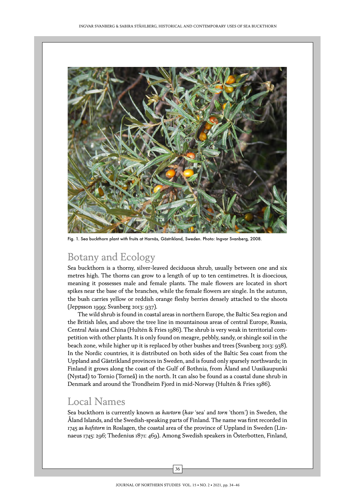

Fig. 1. Sea buckthorn plant with fruits at Harnäs, Gästrikland, Sweden. Photo: Ingvar Svanberg, 2008.

## Botany and Ecology

Sea buckthorn is a thorny, silver-leaved deciduous shrub, usually between one and six metres high. The thorns can grow to a length of up to ten centimetres. It is dioecious, meaning it possesses male and female plants. The male flowers are located in short spikes near the base of the branches, while the female flowers are single. In the autumn, the bush carries yellow or reddish orange fleshy berries densely attached to the shoots (Jeppsson 1999; Svanberg 2013: 937).

The wild shrub is found in coastal areas in northern Europe, the Baltic Sea region and the British Isles, and above the tree line in mountainous areas of central Europe, Russia, Central Asia and China (Hultén & Fries 1986). The shrub is very weak in territorial competition with other plants. It is only found on meagre, pebbly, sandy, or shingle soil in the beach zone, while higher up it is replaced by other bushes and trees (Svanberg 2013: 938). In the Nordic countries, it is distributed on both sides of the Baltic Sea coast from the Uppland and Gästrikland provinces in Sweden, and is found only sparsely northwards; in Finland it grows along the coast of the Gulf of Bothnia, from Åland and Uusikaupunki (Nystad) to Tornio (Torneå) in the north. It can also be found as a coastal dune shrub in Denmark and around the Trondheim Fjord in mid-Norway (Hultén & Fries 1986).

#### Local Names

Sea buckthorn is currently known as *havtorn* (*hav* 'sea' and *torn* 'thorn') in Sweden, the Åland Islands, and the Swedish-speaking parts of Finland. The name was first recorded in 1745 as *hafstorn* in Roslagen, the coastal area of the province of [Uppland](http://en.wikipedia.org/wiki/Uppland) in [Sweden](http://en.wikipedia.org/wiki/Sweden) (Linnaeus 1745: 296; Thedenius 1871: 469). Among Swedish speakers in Österbotten, Finland,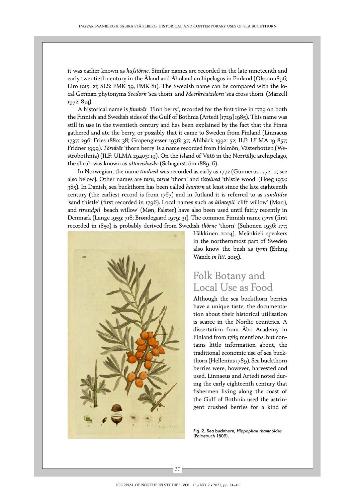it was earlier known as *hafstörne*. Similar names are recorded in the late nineteenth and early twentieth century in the Åland and Åboland archipelagos in Finland (Olsson 1896; Liro 1915: 21; SLS: FMK 39, FMK 81). The Swedish name can be compared with the local German phytonyms *Seedorn* 'sea thorn' and *Meerkreutzdorn* 'sea cross thorn' (Marzell 1972: 874).

A historical name is *finnbär* 'Finn berry', recorded for the first time in 1729 on both the Finnish and Swedish sides of the Gulf of Bothnia (Artedi [1729] 1985). This name was still in use in the twentieth century and has been explained by the fact that the Finns gathered and ate the berry, or possibly that it came to Sweden from Finland (Linnaeus 1737: 296; Fries 1880: 38; Grapengiesser 1936: 37; Ahlbäck 1992: 52; ILF: ULMA 19 857; Fridner 1999). *Törnbär* 'thorn berry' is a name recorded from Holmön, Västerbotten (Westrobothnia) (ILF: ULMA 29403: 19). On the island of Vätö in the Norrtälje archipelago, the shrub was known as *altornsbuske* (Schagerström 1889: 6).

In Norwegian, the name *tindved* was recorded as early as 1772 (Gunnerus 1772: 11; see also below). Other names are *tørn*, *tørne* 'thorn' and *tistelved* 'thistle wood' (Høeg 1974: 385). In Danish, sea buckthorn has been called *havtorn* at least since the late eighteenth century (the earliest record is from 1767) and in Jutland it is referred to as *sandtidse* 'sand thistle' (first recorded in 1796). Local names such as *klintepil* 'cliff willow' (Møn), and *strandpil* 'beach willow' (Møn, Falster) have also been used until fairly recently in Denmark (Lange 1959: 718; Brøndegaard 1979: 31). The common Finnish name *tyrni* (first recorded in 1850) is probably derived from Swedish *thörne* 'thorn' (Suhonen 1936: 177;



Häkkinen 2004). Meänkieli speakers in the northernmost part of Sweden also know the bush as *tyrni* (Erling Wande *in litt*. 2015).

### Folk Botany and Local Use as Food

Although the sea buckthorn berries have a unique taste, the documentation about their historical utilisation is scarce in the Nordic countries. A dissertation from Åbo Academy in Finland from 1789 mentions, but contains little information about, the traditional economic use of sea buckthorn (Hellenius 1789). Sea buckthorn berries were, however, harvested and used. Linnaeus and Artedi noted during the early eighteenth century that fishermen living along the coast of the Gulf of Bothnia used the astringent crushed berries for a kind of

Fig. 2. Sea buckthorn, *Hippophae rhamnoides* (Palmstruch 1809).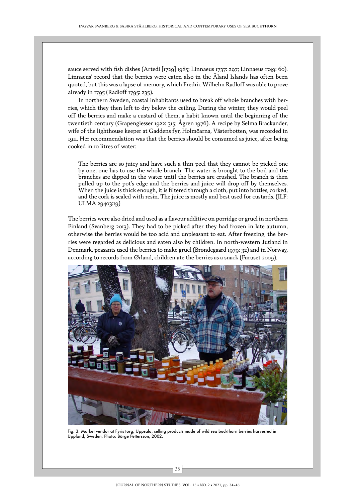sauce served with fish dishes (Artedi [1729] 1985; Linnaeus 1737: 297; Linnaeus 1749: 60). Linnaeus' record that the berries were eaten also in the Åland Islands has often been quoted, but this was a lapse of memory, which Fredric Wilhelm Radloff was able to prove already in 1795 (Radloff 1795: 235).

In northern Sweden, coastal inhabitants used to break off whole branches with berries, which they then left to dry below the ceiling. During the winter, they would peel off the berries and make a custard of them, a habit known until the beginning of the twentieth century (Grapengiesser 1922: 315; Ågren 1976). A recipe by Selma Brackander, wife of the lighthouse keeper at Gaddens fyr, Holmöarna, Västerbotten, was recorded in 1911. Her recommendation was that the berries should be consumed as juice, after being cooked in 10 litres of water:

The berries are so juicy and have such a thin peel that they cannot be picked one by one, one has to use the whole branch. The water is brought to the boil and the branches are dipped in the water until the berries are crushed. The branch is then pulled up to the pot's edge and the berries and juice will drop off by themselves. When the juice is thick enough, it is filtered through a cloth, put into bottles, corked, and the cork is sealed with resin. The juice is mostly and best used for custards. (ILF: ULMA 29403:19)

The berries were also dried and used as a flavour additive on porridge or gruel in northern Finland (Svanberg 2013). They had to be picked after they had frozen in late autumn, otherwise the berries would be too acid and unpleasant to eat. After freezing, the berries were regarded as delicious and eaten also by children. In north-western Jutland in Denmark, peasants used the berries to make gruel (Brøndegaard 1979: 32) and in Norway, according to records from Ørland, children ate the berries as a snack (Furuset 2009).



Fig. 3. Market vendor at Fyris torg, Uppsala, selling products made of wild sea buckthorn berries harvested in Uppland, Sweden. Photo: Börge Pettersson, 2002.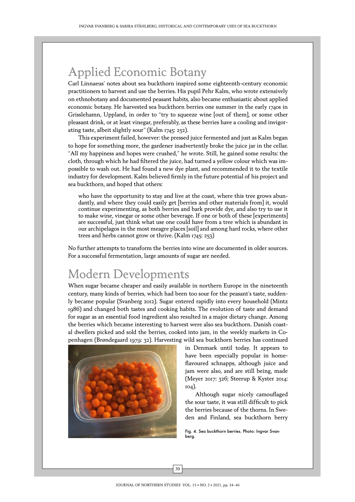# Applied Economic Botany

Carl Linnaeus' notes about sea buckthorn inspired some eighteenth-century economic practitioners to harvest and use the berries. His pupil Pehr Kalm, who wrote extensively on ethnobotany and documented peasant habits, also became enthusiastic about applied economic botany. He harvested sea buckthorn berries one summer in the early 1740s in Grisslehamn, Uppland, in order to "try to squeeze wine [out of them], or some other pleasant drink, or at least vinegar, preferably, as these berries have a cooling and invigorating taste, albeit slightly sour" (Kalm 1745: 252).

This experiment failed, however: the pressed juice fermented and just as Kalm began to hope for something more, the gardener inadvertently broke the juice jar in the cellar. "All my happiness and hopes were crushed," he wrote. Still, he gained some results: the cloth, through which he had filtered the juice, had turned a yellow colour which was impossible to wash out. He had found a new dye plant, and recommended it to the textile industry for development. Kalm believed firmly in the future potential of his project and sea buckthorn, and hoped that others:

who have the opportunity to stay and live at the coast, where this tree grows abundantly, and where they could easily get [berries and other materials from] it, would continue experimenting, as both berries and bark provide dye, and also try to use it to make wine, vinegar or some other beverage. If one or both of these [experiments] are successful, just think what use one could have from a tree which is abundant in our archipelagos in the most meagre places [soil] and among hard rocks, where other trees and herbs cannot grow or thrive. (Kalm 1745: 253)

No further attempts to transform the berries into wine are documented in older sources. For a successful fermentation, large amounts of sugar are needed.

# Modern Developments

When sugar became cheaper and easily available in northern Europe in the nineteenth century, many kinds of berries, which had been too sour for the peasant's taste, suddenly became popular (Svanberg 2012). Sugar entered rapidly into every household (Mintz 1986) and changed both tastes and cooking habits. The evolution of taste and demand for sugar as an essential food ingredient also resulted in a major dietary change. Among the berries which became interesting to harvest were also sea buckthorn. Danish coastal dwellers picked and sold the berries, cooked into jam, in the weekly markets in Copenhagen (Brøndegaard 1979: 32). Harvesting wild sea buckthorn berries has continued



in Denmark until today. It appears to have been especially popular in homeflavoured schnapps, although juice and jam were also, and are still being, made (Meyer 2017: 326; Steerup & Kyster 2014: 104).

Although sugar nicely camouflaged the sour taste, it was still difficult to pick the berries because of the thorns. In Sweden and Finland, sea buckthorn berry

Fig. 4. Sea buckthorn berries. Photo: Ingvar Svanberg.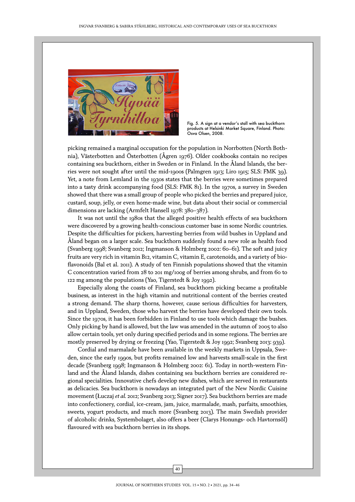

Fig. 5. A sign at a vendor's stall with sea buckthorn products at Helsinki Market Square, Finland. Photo: Osva Olsen, 2008.

picking remained a marginal occupation for the population in Norrbotten (North Bothnia), Västerbotten and Österbotten (Ågren 1976). Older cookbooks contain no recipes containing sea buckthorn, either in Sweden or in Finland. In the Åland Islands, the berries were not sought after until the mid-1900s (Palmgren 1913; Liro 1915; SLS: FMK 39). Yet, a note from Lemland in the 1930s states that the berries were sometimes prepared into a tasty drink accompanying food (SLS: FMK 81). In the 1970s, a survey in Sweden showed that there was a small group of people who picked the berries and prepared juice, custard, soup, jelly, or even home-made wine, but data about their social or commercial dimensions are lacking (Armfelt Hansell 1978: 380–387).

It was not until the 1980s that the alleged positive health effects of sea buckthorn were discovered by a growing health-conscious customer base in some Nordic countries. Despite the difficulties for pickers, harvesting berries from wild bushes in Uppland and Åland began on a larger scale. Sea buckthorn suddenly found a new role as health food (Svanberg 1998; Svanberg 2012; Ingmanson & Holmberg 2002: 60–61). The soft and juicy fruits are very rich in vitamin B12, vitamin C, vitamin E, carotenoids, and a variety of bioflavonoids (Bal et al. 2011). A study of ten Finnish populations showed that the vitamin C concentration varied from 28 to 201 mg/100g of berries among shrubs, and from 60 to 122 mg among the populations (Yao, Tigerstedt & Joy 1992).

Especially along the coasts of Finland, sea buckthorn picking became a profitable business, as interest in the high vitamin and nutritional content of the berries created a strong demand. The sharp thorns, however, cause serious difficulties for harvesters, and in Uppland, Sweden, those who harvest the berries have developed their own tools. Since the 1970s, it has been forbidden in Finland to use tools which damage the bushes. Only picking by hand is allowed, but the law was amended in the autumn of 2005 to also allow certain tools, yet only during specified periods and in some regions. The berries are mostly preserved by drying or freezing (Yao, Tigerstedt & Joy 1992; Svanberg 2013: 939).

Cordial and marmalade have been available in the weekly markets in Uppsala, Sweden, since the early 1990s, but profits remained low and harvests small-scale in the first decade (Svanberg 1998; Ingmanson & Holmberg 2002: 61). Today in north-western Finland and the Åland Islands, dishes containing sea buckthorn berries are considered regional specialities. Innovative chefs develop new dishes, which are served in restaurants as delicacies. Sea buckthorn is nowadays an integrated part of the New Nordic Cuisine movement (Łuczaj *et al.* 2012; Svanberg 2013; Signer 2017). Sea buckthorn berries are made into confectionery, cordial, ice-cream, jam, juice, marmalade, mash, parfaits, smoothies, sweets, yogurt products, and much more (Svanberg 2013). The main Swedish provider of alcoholic drinks, Systembolaget, also offers a beer (Clarys Honungs- och Havtornsöl) flavoured with sea buckthorn berries in its shops.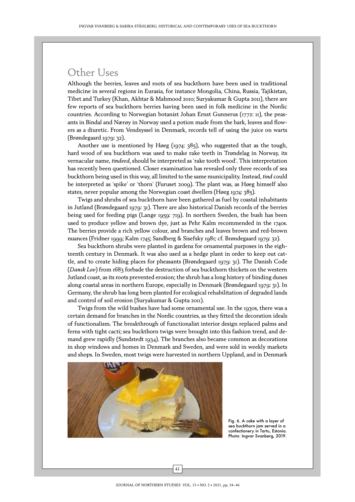## Other Uses

Although the berries, leaves and roots of sea buckthorn have been used in traditional medicine in several regions in Eurasia, for instance Mongolia, China, Russia, Tajikistan, Tibet and Turkey (Khan, Akhtar & Mahmood 2010; Suryakumar & Gupta 2011), there are few reports of sea buckthorn berries having been used in folk medicine in the Nordic countries. According to Norwegian botanist Johan Ernst Gunnerus (1772: 11), the peasants in Bindal and Nærøy in Norway used a potion made from the bark, leaves and flowers as a diuretic. From Vendsyssel in Denmark, records tell of using the juice on warts (Brøndegaard 1979: 32).

Another use is mentioned by Høeg (1974: 385), who suggested that as the tough, hard wood of sea buckthorn was used to make rake teeth in Trøndelag in Norway, its vernacular name, *tindved,* should be interpreted as 'rake tooth wood'. This interpretation has recently been questioned. Closer examination has revealed only three records of sea buckthorn being used in this way, all limited to the same municipality. Instead, *tind* could be interpreted as 'spike' or 'thorn' (Furuset 2009). The plant was, as Høeg himself also states, never popular among the Norwegian coast dwellers (Høeg 1974: 385).

Twigs and shrubs of sea buckthorn have been gathered as fuel by coastal inhabitants in Jutland (Brøndegaard 1979: 31). There are also historical Danish records of the berries being used for feeding pigs (Lange 1959: 719). In northern Sweden, the bush has been used to produce yellow and brown dye, just as Pehr Kalm recommended in the 1740s. The berries provide a rich yellow colour, and branches and leaves brown and red-brown nuances (Fridner 1999; Kalm 1745; Sandberg & Sisefsky 1981; cf. Brøndegaard 1979: 32).

Sea buckthorn shrubs were planted in gardens for ornamental purposes in the eighteenth century in Denmark. It was also used as a hedge plant in order to keep out cattle, and to create hiding places for pheasants (Brøndegaard 1979: 31). The Danish Code (*Dansk Lov*) from 1683 forbade the destruction of sea buckthorn thickets on the western Jutland coast, as its roots prevented erosion; the shrub has a long history of binding dunes along coastal areas in northern Europe, especially in Denmark (Brøndegaard 1979: 31). In Germany, the shrub has long been planted for ecological rehabilitation of degraded lands and control of soil erosion (Suryakumar & Gupta 2011).

Twigs from the wild bushes have had some ornamental use. In the 1930s, there was a certain demand for branches in the Nordic countries, as they fitted the decoration ideals of functionalism. The breakthrough of functionalist interior design replaced palms and ferns with tight cacti; sea buckthorn twigs were brought into this fashion trend, and demand grew rapidly (Sundstedt 1934). The branches also became common as decorations in shop windows and homes in Denmark and Sweden, and were sold in weekly markets and shops. In Sweden, most twigs were harvested in northern Uppland, and in Denmark



Fig. 6. A cake with a layer of sea buckthorn jam served in a confectionery in Tartu, Estonia. Photo: Ingvar Svanberg, 2019.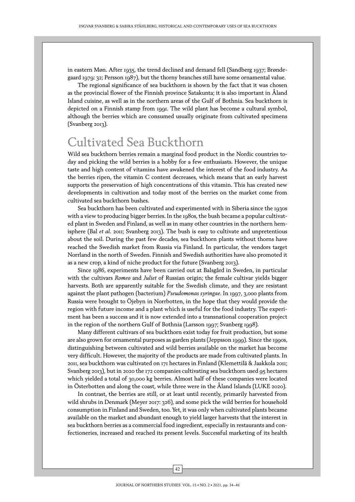in eastern Møn. After 1935, the trend declined and demand fell (Sandberg 1937; Brøndegaard 1979: 32; Persson 1987), but the thorny branches still have some ornamental value.

The regional significance of sea buckthorn is shown by the fact that it was chosen as the provincial flower of the Finnish province Satakunta; it is also important in Åland Island cuisine, as well as in the northern areas of the Gulf of Bothnia. Sea buckthorn is depicted on a Finnish stamp from 1991. The wild plant has become a cultural symbol, although the berries which are consumed usually originate from cultivated specimens (Svanberg 2013).

# Cultivated Sea Buckthorn

Wild sea buckthorn berries remain a marginal food product in the Nordic countries today and picking the wild berries is a hobby for a few enthusiasts. However, the unique taste and high content of vitamins have awakened the interest of the food industry. As the berries ripen, the vitamin C content decreases, which means that an early harvest supports the preservation of high concentrations of this vitamin. This has created new developments in cultivation and today most of the berries on the market come from cultivated sea buckthorn bushes.

Sea buckthorn has been cultivated and experimented with in Siberia since the 1930s with a view to producing bigger berries. In the 1980s, the bush became a popular cultivated plant in Sweden and Finland, as well as in many other countries in the northern hemisphere (Bal *et al*. 2011; Svanberg 2013). The bush is easy to cultivate and unpretentious about the soil. During the past few decades, sea buckthorn plants without thorns have reached the Swedish market from Russia via Finland. In particular, the vendors target Norrland in the north of Sweden. Finnish and Swedish authorities have also promoted it as a new crop, a kind of niche product for the future (Svanberg 2013).

Since 1986, experiments have been carried out at Balsgård in Sweden, in particular with the cultivars *Romeo* and *Juliet* of Russian origin; the female cultivar yields bigger harvests. Both are apparently suitable for the Swedish climate, and they are resistant against the plant pathogen (bacterium) *Pseudomonas syringae*. In 1997, 3,000 plants from Russia were brought to Öjebyn in Norrbotten, in the hope that they would provide the region with future income and a plant which is useful for the food industry. The experiment has been a success and it is now extended into a transnational cooperation project in the region of the northern Gulf of Bothnia (Larsson 1997; Svanberg 1998).

Many different cultivars of sea buckthorn exist today for fruit production, but some are also grown for ornamental purposes as garden plants (Jeppsson 1999). Since the 1990s, distinguishing between cultivated and wild berries available on the market has become very difficult. However, the majority of the products are made from cultivated plants. In 2011, sea buckthorn was cultivated on 171 hectares in Finland (Klemettilä & Jaakkola 2011; Svanberg 2013), but in 2020 the 172 companies cultivating sea buckthorn used 95 hectares which yielded a total of 30,000 kg berries. Almost half of these companies were located in Österbotten and along the coast, while three were in the Åland Islands (LUKE 2020).

In contrast, the berries are still, or at least until recently, primarily harvested from wild shrubs in Denmark (Meyer 2017: 326), and some pick the wild berries for household consumption in Finland and Sweden, too. Yet, it was only when cultivated plants became available on the market and abundant enough to yield larger harvests that the interest in sea buckthorn berries as a commercial food ingredient, especially in restaurants and confectioneries, increased and reached its present levels. Successful marketing of its health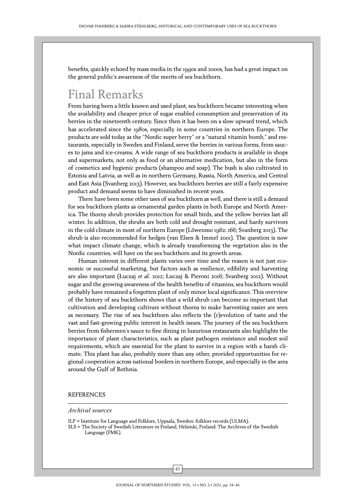benefits, quickly echoed by mass media in the 1990s and 2000s, has had a great impact on the general public's awareness of the merits of sea buckthorn.

## Final Remarks

From having been a little known and used plant, sea buckthorn became interesting when the availability and cheaper price of sugar enabled consumption and preservation of its berries in the nineteenth century. Since then it has been on a slow upward trend, which has accelerated since the 1980s, especially in some countries in northern Europe. The products are sold today as the "Nordic super berry" or a "natural vitamin bomb," and restaurants, especially in Sweden and Finland, serve the berries in various forms, from sauces to jams and ice-creams. A wide range of sea buckthorn products is available in shops and supermarkets, not only as food or an alternative medication, but also in the form of cosmetics and hygienic products (shampoo and soap). The bush is also cultivated in Estonia and Latvia, as well as in northern Germany, Russia, North America, and Central and East Asia (Svanberg 2013). However, sea buckthorn berries are still a fairly expensive product and demand seems to have diminished in recent years.

There have been some other uses of sea buckthorn as well, and there is still a demand for sea buckthorn plants as ornamental garden plants in both Europe and North America. The thorny shrub provides protection for small birds, and the yellow berries last all winter. In addition, the shrubs are both cold and drought resistant, and hardy survivors in the cold climate in most of northern Europe (Löwenmo 1962: 166; Svanberg 2013). The shrub is also recommended for hedges (van Elsen & Immel 2001). The question is now what impact climate change, which is already transforming the vegetation also in the Nordic countries, will have on the sea buckthorn and its growth areas.

Human interest in different plants varies over time and the reason is not just economic or successful marketing, but factors such as resilience, edibility and harvesting are also important (Łuczaj *et al*. 2012; Łuczaj & Pieroni 2016; Svanberg 2012). Without sugar and the growing awareness of the health benefits of vitamins, sea buckthorn would probably have remained a forgotten plant of only minor local significance. This overview of the history of sea buckthorn shows that a wild shrub can become so important that cultivation and developing cultivars without thorns to make harvesting easier are seen as necessary. The rise of sea buckthorn also reflects the (r)evolution of taste and the vast and fast-growing public interest in health issues. The journey of the sea buckthorn berries from fishermen's sauce to fine dining in luxurious restaurants also highlights the importance of plant characteristics, such as plant pathogen resistance and modest soil requirements, which are essential for the plant to survive in a region with a harsh climate. This plant has also, probably more than any other, provided opportunities for regional cooperation across national borders in northern Europe, and especially in the area around the Gulf of Bothnia.

#### REFERENCES

#### *Archival sources*

ILF = Institute for Language and Folklore, Uppsala, Sweden: folklore records (ULMA).

SLS = The Society of Swedish Literature in Finland, Helsinki, Finland: The Archives of the Swedish Language (FMK).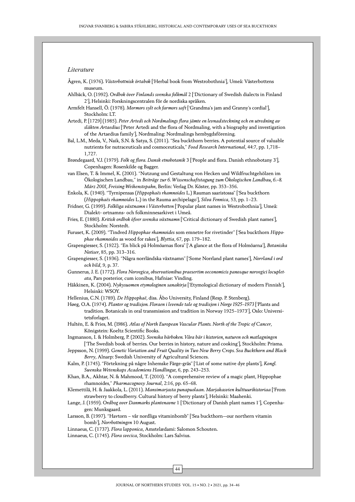#### *Literature*

- Ågren, K. (1976). *Västerbottnisk örtabok* ['Herbal book from Westrobothnia'], Umeå: Västerbottens museum.
- Ahlbäck, O. (1992). *Ordbok över Finlands svenska folkmål* 2 ['Dictionary of Swedish dialects in Finland 2'], Helsinki: Forskningscentralen för de nordiska språken.
- Armfelt Hansell, Ö. (1978). *Mormors sylt och farmors saft* ['Grandma's jam and Granny's cordial'], Stockholm: LT.
- Artedi, P. [1729] (1985). *Peter Artedi och Nordmalings flora jämte en levnadsteckning och en utredning av släkten Artaedius* ['Peter Artedi and the flora of Nordmaling, with a biography and investigation of the Artaedius family'], Nordmaling: Nordmalings hembygdsförening.
- Bal, L.M., Meda, V., Naik, S.N. & Satya, S. (2011). "Sea buckthorn berries. A potential source of valuable nutrients for nutraceuticals and cosmoceuticals," *Food Research International*, 44:7, pp. 1,718– 1,727.
- Brøndegaard, V.J. (1979). *Folk og flora. Dansk etnobotanik* 3 ['People and flora. Danish ethnobotany 3'], Copenhagen: Rosenkilde og Bagger.
- van Elsen, T. & Immel, K. (2001). "Nutzung und Gestaltung von Hecken und Wildfruchtgehölzen im Ökologischen Landbau," in *Beiträge zur 6. Wissenschaftstagung zum Ökologischen Landbau, 6.–8. März 2001, Freising-Weihenstepahn*, Berlin: Verlag Dr. Köster, pp. 353–356.
- Enkola, K. (1940). "Tyrnipensas (*Hippophaës rhamnoides* L.) Rauman saaristossa" ['Sea buckthorn (*Hippophaës rhamnoides* L.) in the Rauma archipelago'], *Silva Fennica*, 53, pp. 1–23.
- Fridner, G. (1999). *Folkliga växtnamn i Västerbotten* ['Popular plant names in Westrobothnia'], Umeå: Dialekt- ortnamns- och folkminnesarkivet i Umeå.
- Fries, E. (1880). *Kritisk ordbok öfver svenska växtnamn* ['Critical dictionary of Swedish plant names'], Stockholm: Norstedt.
- Furuset, K. (2009). "Tindved *Hippophae rhamnoides* som emnetre for rivetinder" ['Sea buckthorn *Hippophae rhamnoides* as wood for rakes'], *Blyttia*, 67, pp. 179–182.
- Grapengiesser, S. (1922). "En blick på Holmöarnas flora" ['A glance at the flora of Holmöarna'], *Botaniska Notiser*, 85, pp. 313–316.
- Grapengiesser, S. (1936). "Några norrländska växtnamn" ['Some Norrland plant names'], *Norrland i ord och bild*, 9, p. 37.
- Gunnerus, J. E. (1772). *Flora Norvegica, observationibus praesertim oeconomicis panosque norvegici locupletata*, Pars posterior, cum iconibus, Hafniae: Vinding.
- Häkkinen, K. (2004). *Nykysuomen etymologinen sanakirja* ['Etymological dictionary of modern Finnish'], Helsinki: WSOY.
- Hellenius, C.N. (1789). *De Hippophaë*, diss. Åbo University, Finland (Resp. P. Stenberg).

Høeg, O.A. (1974). *Planter og tradisjon. Floraen i levende tale og tradisjon i Norge 1925*–*1973* ['Plants and tradition. Botanicals in oral transmission and tradition in Norway 1925–1973'], Oslo: Universitetsforlaget.

- Hultén, E. & Fries, M. (1986). *Atlas of North European Vascular Plants. North of the Tropic of Cancer*, Königstein: Koeltz Scientific Books.
- Ingmanson, I. & Holmberg, P. (2002). *Svenska bärboken. Våra bär i historien, naturen och matlagningen*  ['The Swedish book of berries. Our berries in history, nature and cooking'], Stockholm: Prisma.
- Jeppsson, N. (1999). *Genetic Variation and Fruit Quality in Two New Berry Crops. Sea Buckthorn and Black Berry*, Alnarp: Swedish University of Agricultural Sciences.
- Kalm, P. (1745). "Förtekning på någre Inhemske Färge-gräs" ['List of some native dye plants'], *Kongl. Swenska Wetenskaps Academiens Handling*ar, 6, pp. 243–253.
- Khan, B.A., Akhtar, N. & Mahmood, T. (2010). "A comprehensive review of a magic plant, Hippophae rhamnoides," *Pharmacognosy Journal*, 2:16, pp. 65–68.
- Klemettilä, H. & Jaakkola, L. (2011). *Mansimarjasta punapuolaan*. *Marjakasvien kulttuurihistoriaa* ['From strawberry to cloudberry. Cultural history of berry plants'], Helsinki: Maahenki.
- Lange, J. (1959). *Ordbog over Danmarks plantenavne* 1 ['Dictionary of Danish plant names 1'], Copenhagen: Munksgaard.
- Larsson, B. (1997). "Havtorn vår nordliga vitaminbomb" ['Sea buckthorn—our northern vitamin bomb'], *Norrbottningen* 10 August.
- Linnaeus, C. (1737). *Flora lapponica*, Amstelædami: Salomon Schouten.
- Linnaeus, C. (1745). *Flora svecica*, Stockholm: Lars Salvius.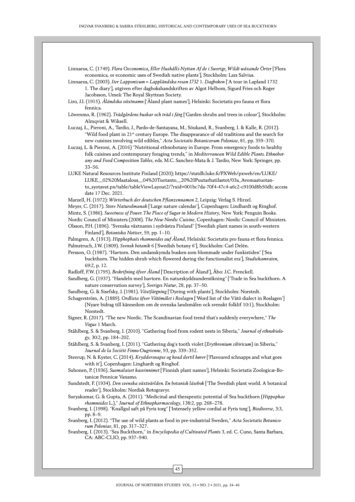Linnaeus, C. (1749). *Flora Oeconomica, Eller Hushålls-Nyttan Af de i Swerige, Wildt wäxande Örter* ['Flora economica, or economic uses of Swedish native plants'], Stockholm: Lars Salvius.

Linnaeus, C. (2003). *Iter Lapponicum = Lappländska resan 1732* 1. *Dagboken* ['A tour in Lapland 1732 1. The diary'], utgiven efter dagbokshandskriften av Algot Helbom, Sigurd Fries och Roger Jacobsson, Umeå: The Royal Skyttean Society.

Liro, J.I. (1915). *Åländska växtnamn* ['Åland plant names'], Helsinki: Societatis pro fauna et flora fennica.

Löwenmo, R. (1962). *Trädgårdens buskar och träd i färg* ['Garden shrubs and trees in colour'], Stockholm: Almqvist & Wiksell.

Łuczaj, Ł., Pieroni, A., Tardio, J., Pardo-de-Santayana, M., Sõukand, R., Svanberg, I. & Kalle, R. (2012). "Wild food plant in 21st century Europe. The disappearance of old traditions and the search for new cuisines involving wild edibles," *Acta Societatis Botanicorum Poloniae*, 81, pp. 359–370.

Łuczaj, Ł. & Pieroni, A. (2016) "Nutritional ethnobotany in Europe. From emergency foods to healthy folk cuisines and contemporary foraging trends," in *Mediterranean Wild Edible Plants. Ethnobotany and Food Composition Tables*, eds. M.C. Sanchez-Mata & J. Tardío, New York: Springer, pp. 33–56.

LUKE Natural Resources Institute Finland (2020); https://statdb.luke.fi/PXWeb/pxweb/en/LUKE/ LUKE\_\_02%20Maatalous\_\_04%20Tuotanto\_\_20%20Puutarhatilastot/03a\_Avomaatuotanto\_syotavat.px/table/tableViewLayout2/?rxid=001bc7da-70f4-47c4-a6c2-c9100d8b50db; access date 17 Dec. 2021.

Marzell, H. (1972): *Wörterbuch der deutschen Pflanzennamen* 2, Leipzig: Verlag S. Hirzel.

Meyer, C. (2017). *Store Naturalmanak* ['Large nature calendar'], Copenhagen: Lindhardt og Ringhof.

Mintz, S. (1986). *Sweetness of Power. The Place of Sugar in Modern History*, New York: Penguin Books.

Nordic Council of Ministers (2008). *The New Nordic Cuisine*, Copenhagen: Nordic Council of Ministers.

Olsson, P.H. (1896). ["Svenska växtnamn i sydvästra Finland" \['Swedish plant names in south-western](http://www.bokborsen.se/P-Hj-Olsson/Svenska-V‰xtnamn-I-Sydv‰stra-Finland/3593216/3595)  [Finland'\],](http://www.bokborsen.se/P-Hj-Olsson/Svenska-V‰xtnamn-I-Sydv‰stra-Finland/3593216/3595) *Botaniska Notiser*, 59, pp. 1–10.

Palmgren, A. (1913). *Hipphophaës rhamnoides auf Åland*, Helsinki: Societatis pro fauna et flora fennica. Palmstruch, J.W. (1809). *Svensk botanik* 6 ['Swedish botany 6'], Stockholm: Carl Delén.

Persson, O. (1987). "Havtorn. Den undanskymda busken som blommade under funkistiden" ['Sea buckthorn. The hidden shrub which flowered during the functionalist era'], *Studiekamraten*, 69:2, p. 12.

Radloff, F.W. (1795). *Beskrifning öfver Åland* ['Description of Åland'], Åbo: J.C. Frenckell.

Sandberg, G. (1937). "Handeln med havtorn. En naturskyddsundersökning" ['Trade in Sea buckthorn. A nature conservation survey'], *Sveriges Natur*, 28, pp. 37–50.

Sandberg, G. & Sisefsky, J. (1981). *Växtfärgning* ['Dyeing with plants'], Stockholm: Norstedt.

Schagerström, A. (1889). *Ordlista öfver Vätömålet i Roslagen* ['Word list of the Vätö dialect in Roslagen'] (Nyare bidrag till kännedom om de svenska landsmålen ock svenskt folklif 10:1), Stockholm: Norstedt.

Signer, R. (2017). "The new Nordic. The Scandinavian food trend that's suddenly everywhere," *The Vogue* 1 March.

Ståhlberg, S. & Svanberg, I. (2010). "Gathering food from rodent nests in Siberia," *Journal of ethnobiology*, 30:2, pp. 184–202.

Ståhlberg, S. & Svanberg, I. (2011). "Gathering dog's tooth violet (*Erythronium sibiricum*) in Siberia," *Journal de la Société Finno-Ougrienne*, 93, pp. 339–352.

Steerup, N. & Kyster, C. (2014). *Kryddersnapse og hvad dertil hører* ['Flavoured schnapps and what goes with it'], Copenhagen: Linghardt og Ringhof.

Suhonen, P. (1936). *Suomalaiset kasvinnimet* ['Finnish plant names'], Helsinki: Societatis Zoologicæ-Botanicæ Fennicæ Vanamo.

Sundstedt, F. (1934). *Den svenska växtvärlden. En botanisk läsebok* ['The Swedish plant world. A botanical reader'], Stockholm: Nordisk Rotogravyr.

Suryakumar, G. & Gupta, A. (2011). "Medicinal and therapeutic potential of Sea buckthorn (*Hippophae rhamnoides* L.)," *Journal of Ethnopharmacology*, 138:2, pp. 268–278.

Svanberg, I. (1998). "Knallgul saft på Fyris torg" ['Intensely yellow cordial at Fyris torg'], *Biodiverse*, 3:3, pp. 8–9.

Svanberg, I. (2012). "The use of wild plants as food in pre-industrial Sweden," *Acta Societatis Botanicorum Poloniae*, 81, pp. 317–327.

Svanberg, I. (2013). "Sea Buckthorn," in *Encyclopedia of Cultivated Plants* 3, ed. C. Cuno, Santa Barbara, CA: ABC-CLIO, pp. 937–940.